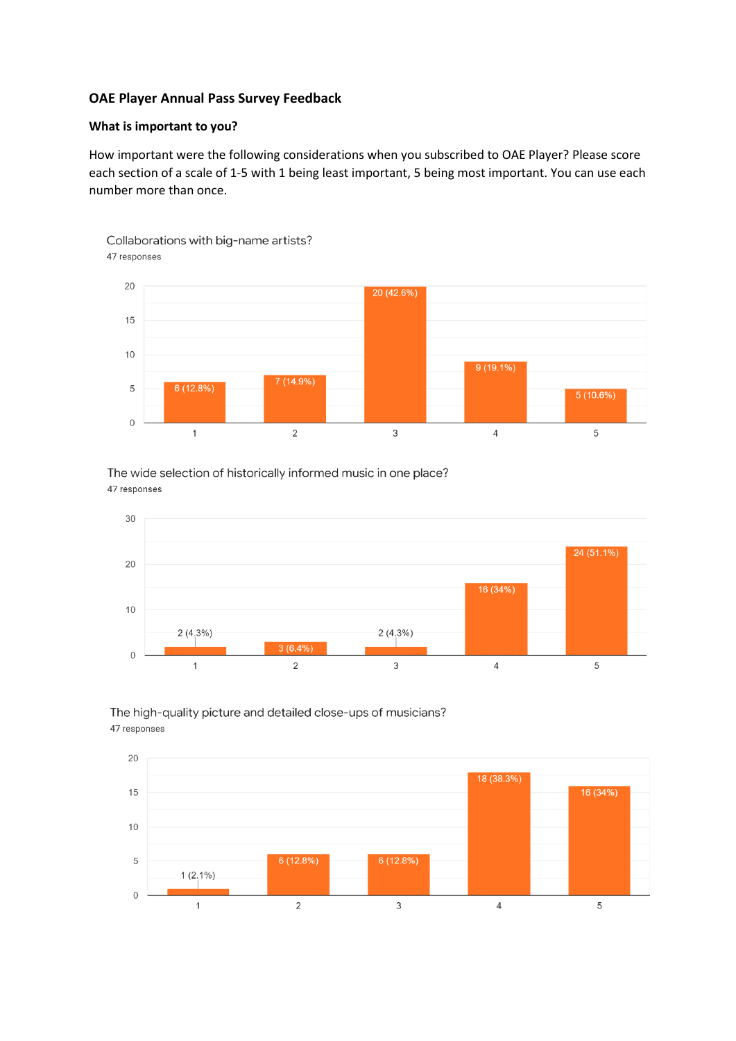#### **OAE Player Annual Pass Survey Feedback**

#### **What is important to you?**

How important were the following considerations when you subscribed to OAE Player? Please score each section of a scale of 1-5 with 1 being least important, 5 being most important. You can use each number more than once.



The wide selection of historically informed music in one place? 47 responses





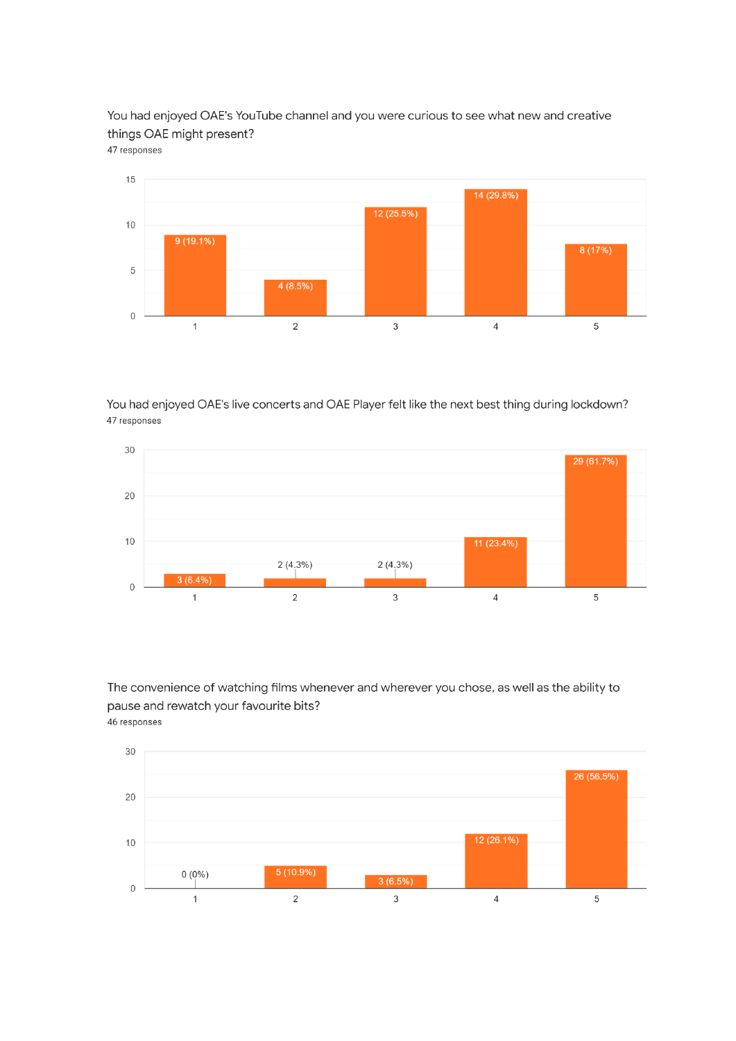You had enjoyed OAE's YouTube channel and you were curious to see what new and creative things OAE might present? 47 responses



You had enjoyed OAE's live concerts and OAE Player felt like the next best thing during lockdown? 47 responses



The convenience of watching films whenever and wherever you chose, as well as the ability to pause and rewatch your favourite bits? 46 responses

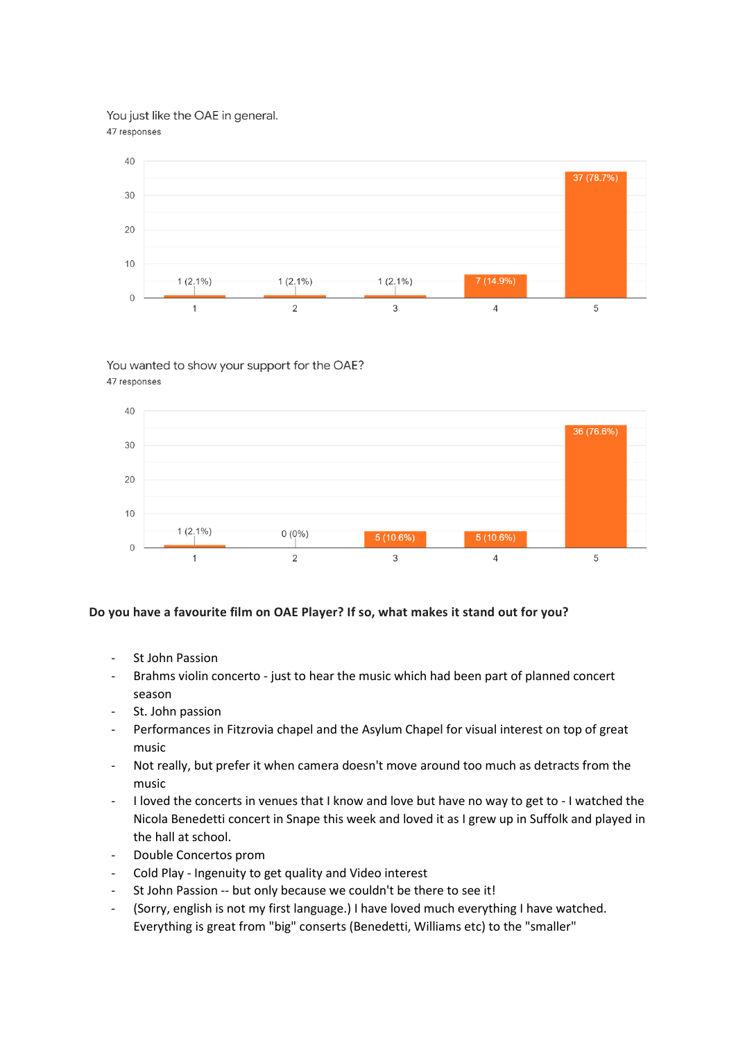You just like the OAE in general.

47 responses



# You wanted to show your support for the OAE?

47 responses



## **Do you have a favourite film on OAE Player? If so, what makes it stand out for you?**

- St John Passion
- Brahms violin concerto just to hear the music which had been part of planned concert season
- St. John passion
- Performances in Fitzrovia chapel and the Asylum Chapel for visual interest on top of great music
- Not really, but prefer it when camera doesn't move around too much as detracts from the music
- I loved the concerts in venues that I know and love but have no way to get to I watched the Nicola Benedetti concert in Snape this week and loved it as I grew up in Suffolk and played in the hall at school.
- Double Concertos prom
- Cold Play Ingenuity to get quality and Video interest
- St John Passion -- but only because we couldn't be there to see it!
- (Sorry, english is not my first language.) I have loved much everything I have watched. Everything is great from "big" conserts (Benedetti, Williams etc) to the "smaller"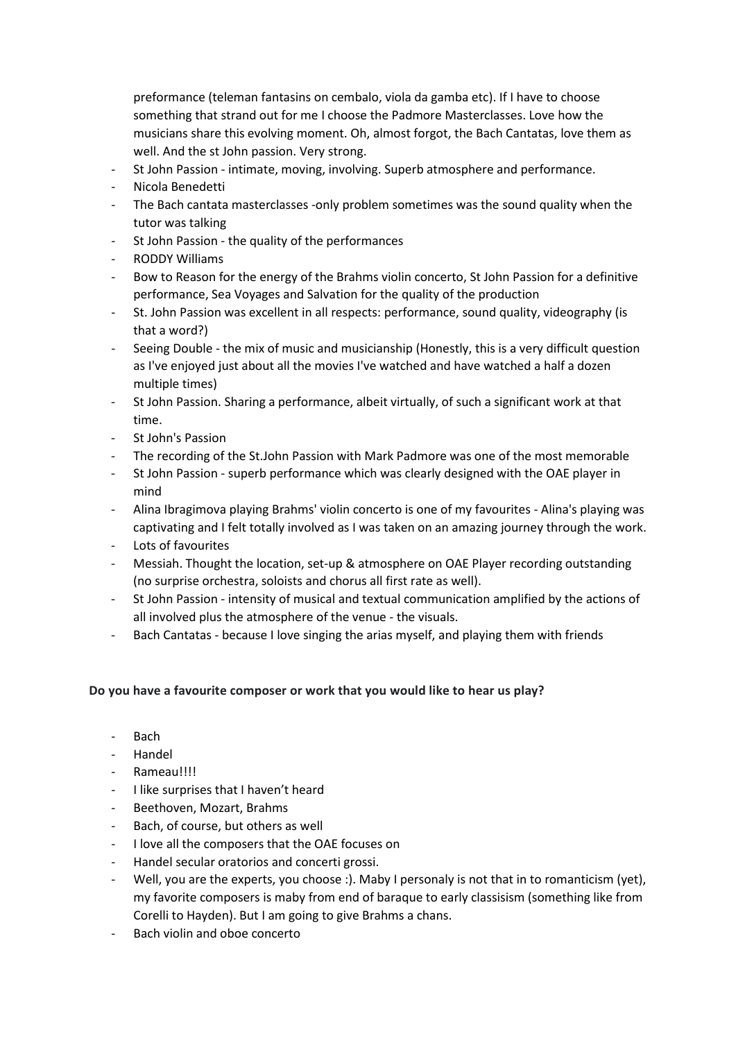preformance (teleman fantasins on cembalo, viola da gamba etc). If I have to choose something that strand out for me I choose the Padmore Masterclasses. Love how the musicians share this evolving moment. Oh, almost forgot, the Bach Cantatas, love them as well. And the st John passion. Very strong.

- St John Passion intimate, moving, involving. Superb atmosphere and performance.
- Nicola Benedetti
- The Bach cantata masterclasses -only problem sometimes was the sound quality when the tutor was talking
- St John Passion the quality of the performances
- RODDY Williams
- Bow to Reason for the energy of the Brahms violin concerto, St John Passion for a definitive performance, Sea Voyages and Salvation for the quality of the production
- St. John Passion was excellent in all respects: performance, sound quality, videography (is that a word?)
- Seeing Double the mix of music and musicianship (Honestly, this is a very difficult question as I've enjoyed just about all the movies I've watched and have watched a half a dozen multiple times)
- St John Passion. Sharing a performance, albeit virtually, of such a significant work at that time.
- St John's Passion
- The recording of the St.John Passion with Mark Padmore was one of the most memorable
- St John Passion superb performance which was clearly designed with the OAE player in mind
- Alina Ibragimova playing Brahms' violin concerto is one of my favourites Alina's playing was captivating and I felt totally involved as I was taken on an amazing journey through the work.
- Lots of favourites
- Messiah. Thought the location, set-up & atmosphere on OAE Player recording outstanding (no surprise orchestra, soloists and chorus all first rate as well).
- St John Passion intensity of musical and textual communication amplified by the actions of all involved plus the atmosphere of the venue - the visuals.
- Bach Cantatas because I love singing the arias myself, and playing them with friends

## **Do you have a favourite composer or work that you would like to hear us play?**

- Bach
- Handel
- Rameau!!!!
- I like surprises that I haven't heard
- Beethoven, Mozart, Brahms
- Bach, of course, but others as well
- I love all the composers that the OAE focuses on
- Handel secular oratorios and concerti grossi.
- Well, you are the experts, you choose :). Maby I personaly is not that in to romanticism (yet), my favorite composers is maby from end of baraque to early classisism (something like from Corelli to Hayden). But I am going to give Brahms a chans.
- Bach violin and oboe concerto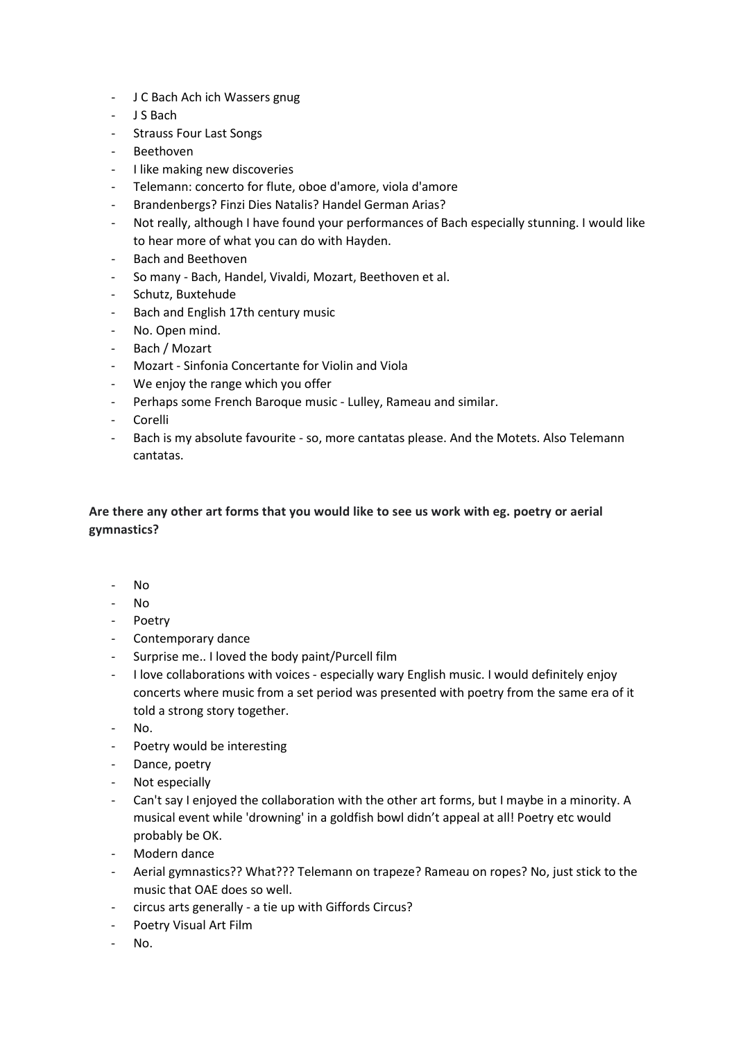- J C Bach Ach ich Wassers gnug
- J S Bach
- Strauss Four Last Songs
- **Beethoven**
- I like making new discoveries
- Telemann: concerto for flute, oboe d'amore, viola d'amore
- Brandenbergs? Finzi Dies Natalis? Handel German Arias?
- Not really, although I have found your performances of Bach especially stunning. I would like to hear more of what you can do with Hayden.
- Bach and Beethoven
- So many Bach, Handel, Vivaldi, Mozart, Beethoven et al.
- Schutz, Buxtehude
- Bach and English 17th century music
- No. Open mind.
- Bach / Mozart
- Mozart Sinfonia Concertante for Violin and Viola
- We enjoy the range which you offer
- Perhaps some French Baroque music Lulley, Rameau and similar.
- Corelli
- Bach is my absolute favourite so, more cantatas please. And the Motets. Also Telemann cantatas.

## **Are there any other art forms that you would like to see us work with eg. poetry or aerial gymnastics?**

- No
- No
- Poetry
- Contemporary dance
- Surprise me.. I loved the body paint/Purcell film
- I love collaborations with voices especially wary English music. I would definitely enjoy concerts where music from a set period was presented with poetry from the same era of it told a strong story together.
- No.
- Poetry would be interesting
- Dance, poetry
- Not especially
- Can't say I enjoyed the collaboration with the other art forms, but I maybe in a minority. A musical event while 'drowning' in a goldfish bowl didn't appeal at all! Poetry etc would probably be OK.
- Modern dance
- Aerial gymnastics?? What??? Telemann on trapeze? Rameau on ropes? No, just stick to the music that OAE does so well.
- circus arts generally a tie up with Giffords Circus?
- Poetry Visual Art Film
- No.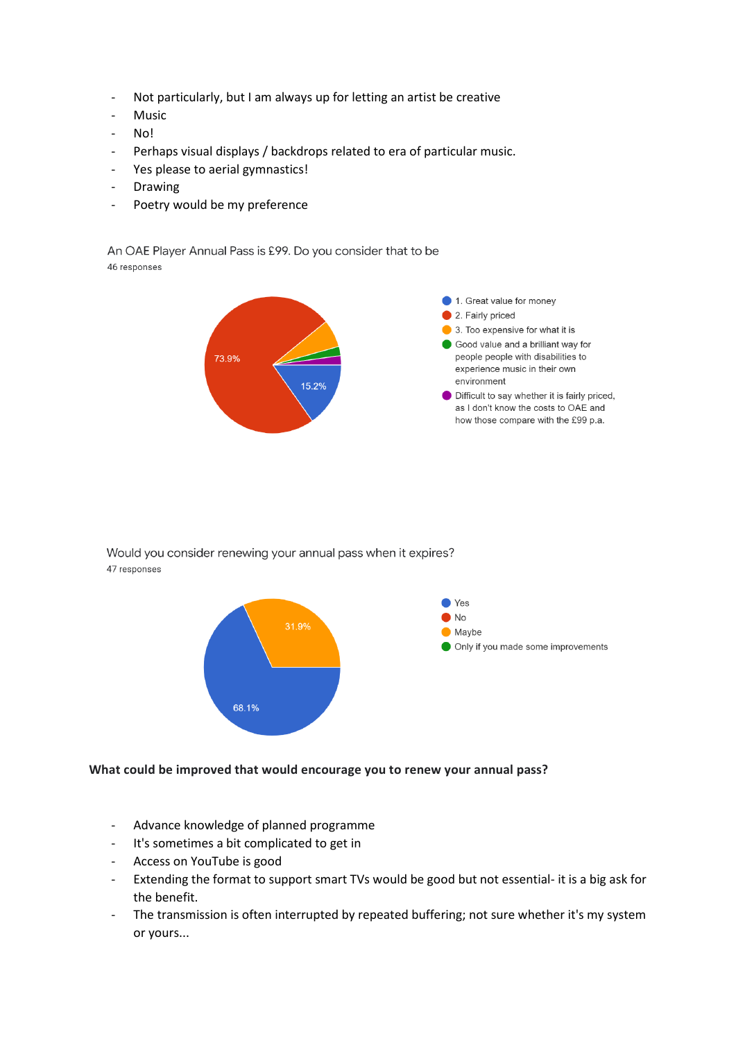- Not particularly, but I am always up for letting an artist be creative
- Music
- No!
- Perhaps visual displays / backdrops related to era of particular music.
- Yes please to aerial gymnastics!
- Drawing
- Poetry would be my preference

An OAE Player Annual Pass is £99. Do you consider that to be 46 responses



Would you consider renewing your annual pass when it expires? 47 responses



#### **What could be improved that would encourage you to renew your annual pass?**

- Advance knowledge of planned programme
- It's sometimes a bit complicated to get in
- Access on YouTube is good
- Extending the format to support smart TVs would be good but not essential- it is a big ask for the benefit.
- The transmission is often interrupted by repeated buffering; not sure whether it's my system or yours...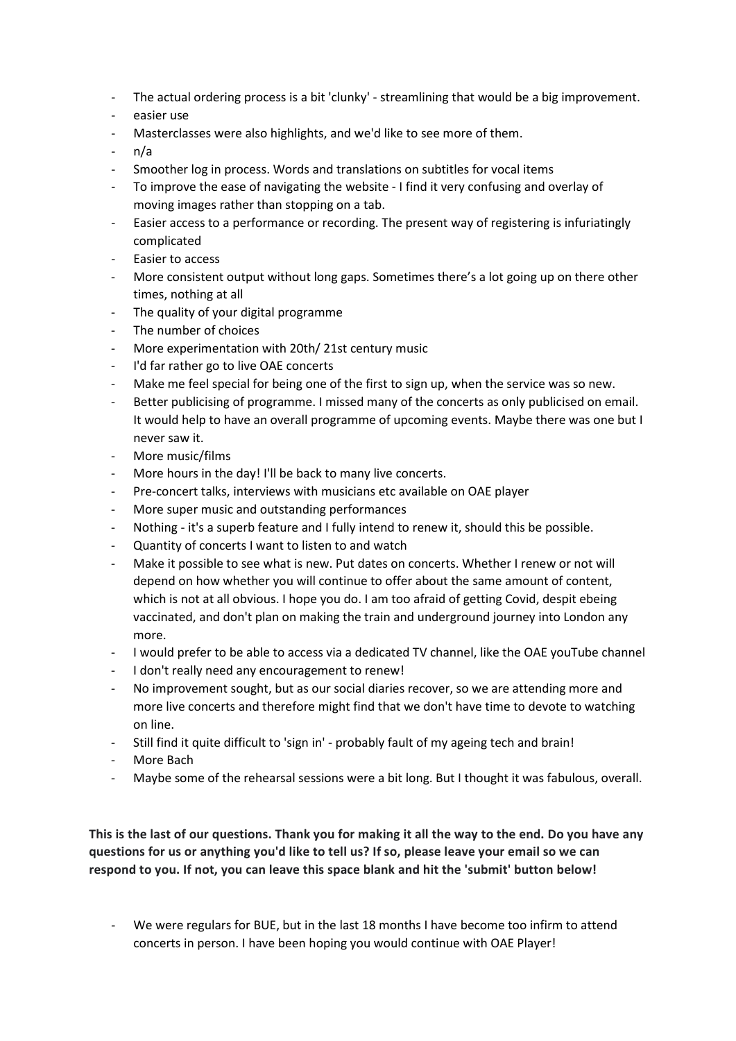- The actual ordering process is a bit 'clunky' streamlining that would be a big improvement.
- easier use
- Masterclasses were also highlights, and we'd like to see more of them.
- n/a
- Smoother log in process. Words and translations on subtitles for vocal items
- To improve the ease of navigating the website I find it very confusing and overlay of moving images rather than stopping on a tab.
- Easier access to a performance or recording. The present way of registering is infuriatingly complicated
- Easier to access
- More consistent output without long gaps. Sometimes there's a lot going up on there other times, nothing at all
- The quality of your digital programme
- The number of choices
- More experimentation with 20th/ 21st century music
- I'd far rather go to live OAE concerts
- Make me feel special for being one of the first to sign up, when the service was so new.
- Better publicising of programme. I missed many of the concerts as only publicised on email. It would help to have an overall programme of upcoming events. Maybe there was one but I never saw it.
- More music/films
- More hours in the day! I'll be back to many live concerts.
- Pre-concert talks, interviews with musicians etc available on OAE player
- More super music and outstanding performances
- Nothing it's a superb feature and I fully intend to renew it, should this be possible.
- Quantity of concerts I want to listen to and watch
- Make it possible to see what is new. Put dates on concerts. Whether I renew or not will depend on how whether you will continue to offer about the same amount of content, which is not at all obvious. I hope you do. I am too afraid of getting Covid, despit ebeing vaccinated, and don't plan on making the train and underground journey into London any more.
- I would prefer to be able to access via a dedicated TV channel, like the OAE youTube channel
- I don't really need any encouragement to renew!
- No improvement sought, but as our social diaries recover, so we are attending more and more live concerts and therefore might find that we don't have time to devote to watching on line.
- Still find it quite difficult to 'sign in' probably fault of my ageing tech and brain!
- More Bach
- Maybe some of the rehearsal sessions were a bit long. But I thought it was fabulous, overall.

**This is the last of our questions. Thank you for making it all the way to the end. Do you have any questions for us or anything you'd like to tell us? If so, please leave your email so we can respond to you. If not, you can leave this space blank and hit the 'submit' button below!**

- We were regulars for BUE, but in the last 18 months I have become too infirm to attend concerts in person. I have been hoping you would continue with OAE Player!